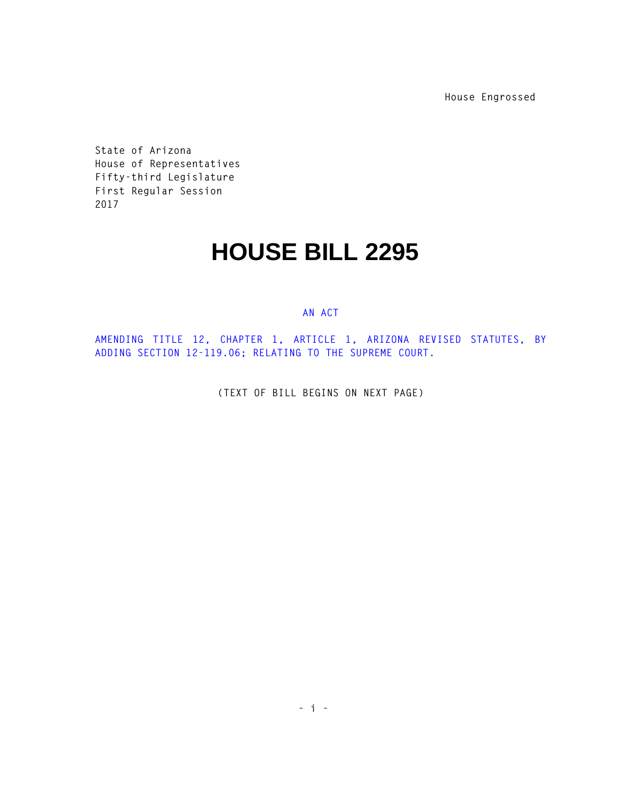**House Engrossed** 

**State of Arizona House of Representatives Fifty-third Legislature First Regular Session 2017** 

## **HOUSE BILL 2295**

## **AN ACT**

**AMENDING TITLE 12, CHAPTER 1, ARTICLE 1, ARIZONA REVISED STATUTES, BY ADDING SECTION 12-119.06; RELATING TO THE SUPREME COURT.** 

**(TEXT OF BILL BEGINS ON NEXT PAGE)**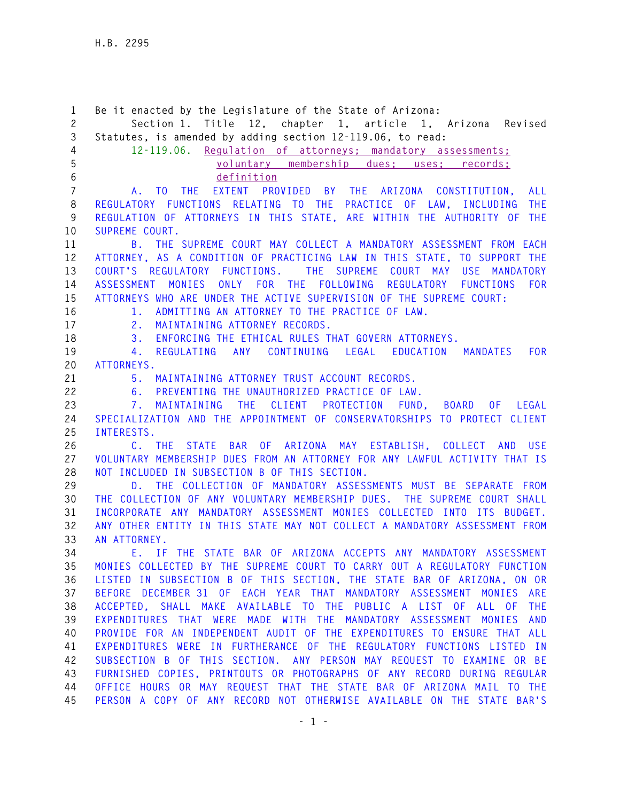**1 Be it enacted by the Legislature of the State of Arizona: 2 Section 1. Title 12, chapter 1, article 1, Arizona Revised 3 Statutes, is amended by adding section 12-119.06, to read: 4 12-119.06. Regulation of attorneys; mandatory assessments; 5 voluntary membership dues; uses; records; 6 definition 7 A. TO THE EXTENT PROVIDED BY THE ARIZONA CONSTITUTION, ALL 8 REGULATORY FUNCTIONS RELATING TO THE PRACTICE OF LAW, INCLUDING THE 9 REGULATION OF ATTORNEYS IN THIS STATE, ARE WITHIN THE AUTHORITY OF THE 10 SUPREME COURT. 11 B. THE SUPREME COURT MAY COLLECT A MANDATORY ASSESSMENT FROM EACH 12 ATTORNEY, AS A CONDITION OF PRACTICING LAW IN THIS STATE, TO SUPPORT THE 13 COURT'S REGULATORY FUNCTIONS. THE SUPREME COURT MAY USE MANDATORY 14 ASSESSMENT MONIES ONLY FOR THE FOLLOWING REGULATORY FUNCTIONS FOR 15 ATTORNEYS WHO ARE UNDER THE ACTIVE SUPERVISION OF THE SUPREME COURT: 16 1. ADMITTING AN ATTORNEY TO THE PRACTICE OF LAW. 17 2. MAINTAINING ATTORNEY RECORDS. 18 3. ENFORCING THE ETHICAL RULES THAT GOVERN ATTORNEYS. 19 4. REGULATING ANY CONTINUING LEGAL EDUCATION MANDATES FOR 20 ATTORNEYS. 21 5. MAINTAINING ATTORNEY TRUST ACCOUNT RECORDS. 22 6. PREVENTING THE UNAUTHORIZED PRACTICE OF LAW. 23 7. MAINTAINING THE CLIENT PROTECTION FUND, BOARD OF LEGAL 24 SPECIALIZATION AND THE APPOINTMENT OF CONSERVATORSHIPS TO PROTECT CLIENT 25 INTERESTS. 26 C. THE STATE BAR OF ARIZONA MAY ESTABLISH, COLLECT AND USE 27 VOLUNTARY MEMBERSHIP DUES FROM AN ATTORNEY FOR ANY LAWFUL ACTIVITY THAT IS 28 NOT INCLUDED IN SUBSECTION B OF THIS SECTION. 29 D. THE COLLECTION OF MANDATORY ASSESSMENTS MUST BE SEPARATE FROM 30 THE COLLECTION OF ANY VOLUNTARY MEMBERSHIP DUES. THE SUPREME COURT SHALL 31 INCORPORATE ANY MANDATORY ASSESSMENT MONIES COLLECTED INTO ITS BUDGET. 32 ANY OTHER ENTITY IN THIS STATE MAY NOT COLLECT A MANDATORY ASSESSMENT FROM 33 AN ATTORNEY. 34 E. IF THE STATE BAR OF ARIZONA ACCEPTS ANY MANDATORY ASSESSMENT 35 MONIES COLLECTED BY THE SUPREME COURT TO CARRY OUT A REGULATORY FUNCTION 36 LISTED IN SUBSECTION B OF THIS SECTION, THE STATE BAR OF ARIZONA, ON OR 37 BEFORE DECEMBER 31 OF EACH YEAR THAT MANDATORY ASSESSMENT MONIES ARE 38 ACCEPTED, SHALL MAKE AVAILABLE TO THE PUBLIC A LIST OF ALL OF THE 39 EXPENDITURES THAT WERE MADE WITH THE MANDATORY ASSESSMENT MONIES AND 40 PROVIDE FOR AN INDEPENDENT AUDIT OF THE EXPENDITURES TO ENSURE THAT ALL 41 EXPENDITURES WERE IN FURTHERANCE OF THE REGULATORY FUNCTIONS LISTED IN 42 SUBSECTION B OF THIS SECTION. ANY PERSON MAY REQUEST TO EXAMINE OR BE 43 FURNISHED COPIES, PRINTOUTS OR PHOTOGRAPHS OF ANY RECORD DURING REGULAR 44 OFFICE HOURS OR MAY REQUEST THAT THE STATE BAR OF ARIZONA MAIL TO THE 45 PERSON A COPY OF ANY RECORD NOT OTHERWISE AVAILABLE ON THE STATE BAR'S**